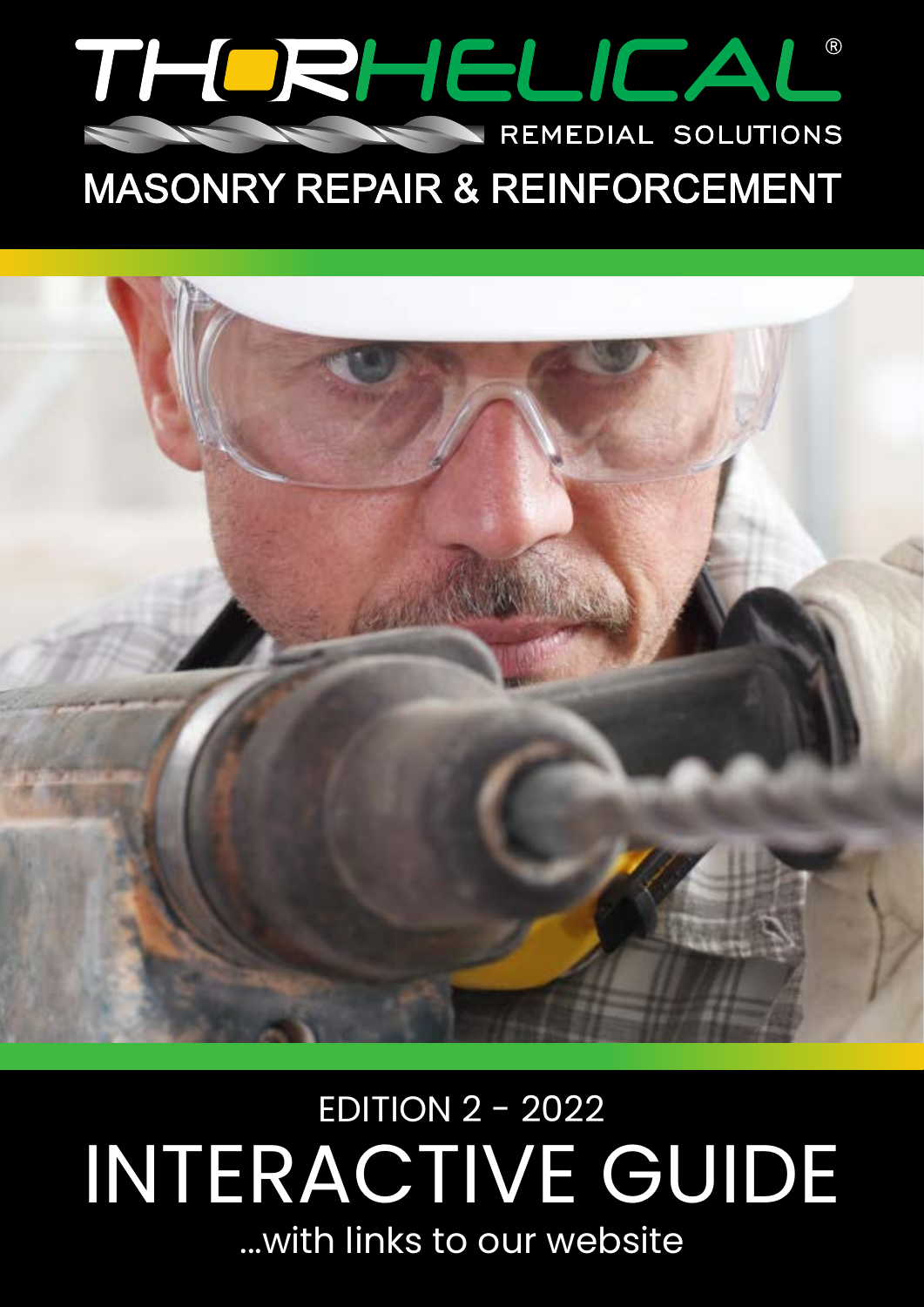

## **MASONRY REPAIR & REINFORCEMENT**



# ...with links to our website INTERACTIVE GUIDE EDITION 2 - 2022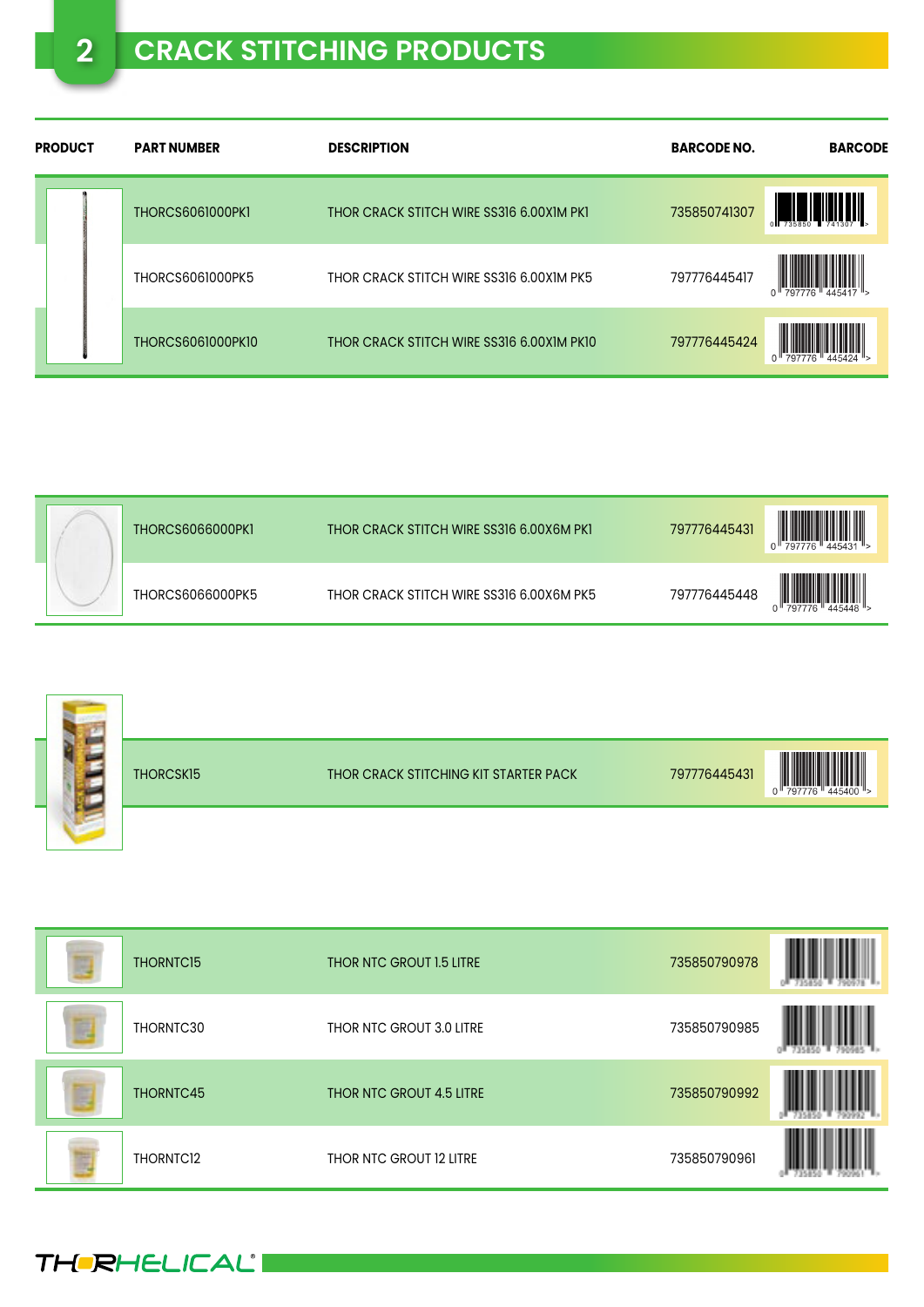## **2 CRACK STITCHING PRODUCTS**

| <b>PRODUCT</b> | <b>PART NUMBER</b>       | <b>DESCRIPTION</b>                        | <b>BARCODE NO.</b> | <b>BARCODE</b> |
|----------------|--------------------------|-------------------------------------------|--------------------|----------------|
|                | <b>THORCS6061000PK1</b>  | THOR CRACK STITCH WIRE SS316 6.00X1M PK1  | 735850741307       |                |
|                | <b>THORCS6061000PK5</b>  | THOR CRACK STITCH WIRE SS316 6.00X1M PK5  | 797776445417       |                |
|                | <b>THORCS6061000PK10</b> | THOR CRACK STITCH WIRE SS316 6.00X1M PK10 | 797776445424       |                |

| <b>THORCS6066000PK1</b> | THOR CRACK STITCH WIRE SS316 6.00X6M PK1 | $\left\  \prod_{445431} \right\ $<br>797776445431 |
|-------------------------|------------------------------------------|---------------------------------------------------|
| THORCS6066000PK5        | THOR CRACK STITCH WIRE SS316 6.00X6M PK5 | 797776445448                                      |

|  | THORCSK15 | THOR CRACK STITCHING KIT STARTER PACK | 797776445431 | $0$    797776 |
|--|-----------|---------------------------------------|--------------|---------------|
|  |           |                                       |              |               |

| D | THORNTC15             | THOR NTC GROUT 1.5 LITRE | 735850790978 |  |
|---|-----------------------|--------------------------|--------------|--|
| B | THORNTC30             | THOR NTC GROUT 3.0 LITRE | 735850790985 |  |
| þ | THORNTC45             | THOR NTC GROUT 4.5 LITRE | 735850790992 |  |
| È | THORNTC <sub>12</sub> | THOR NTC GROUT 12 LITRE  | 735850790961 |  |

**THERHELICAL'I**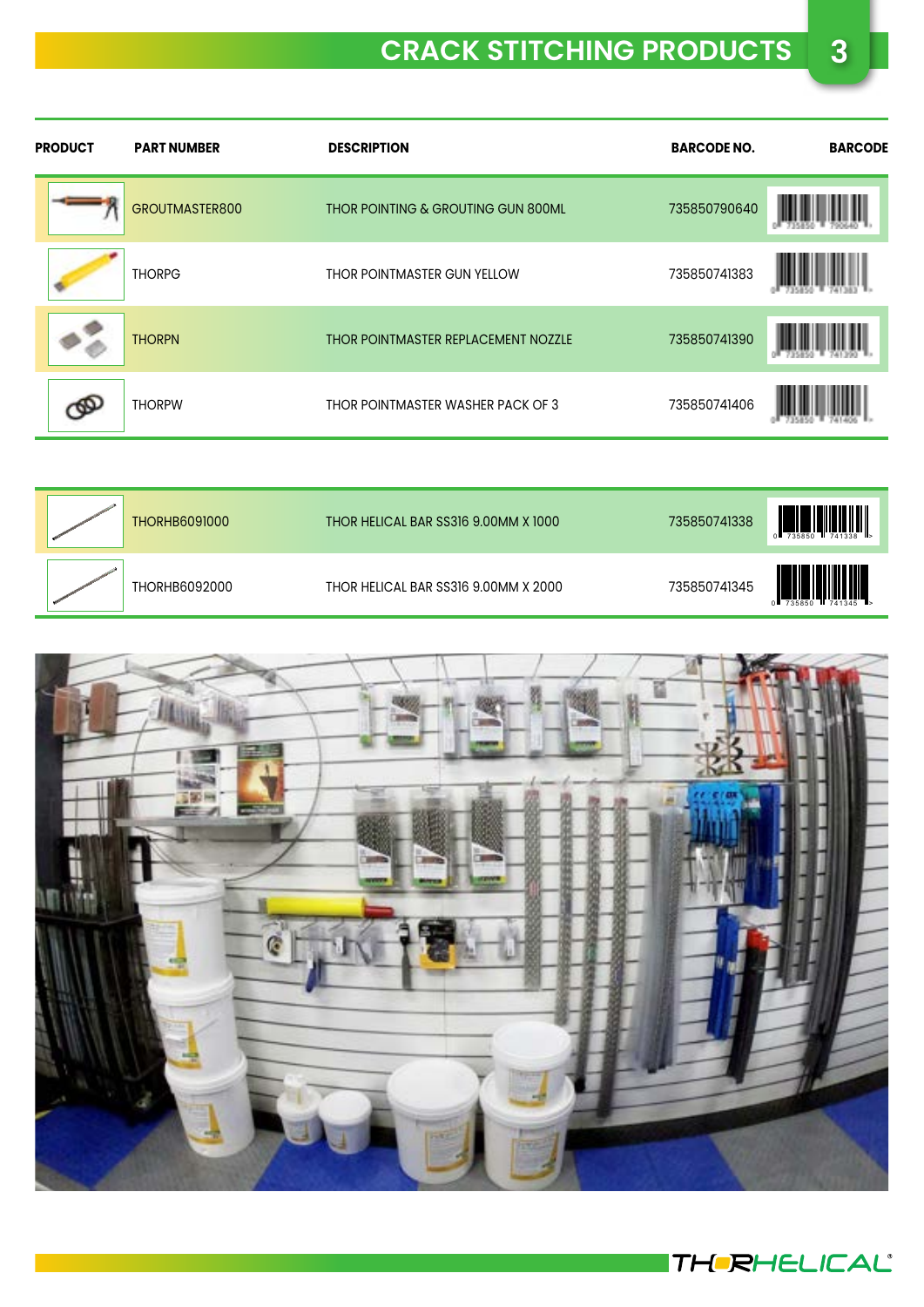## **CRACK STITCHING PRODUCTS 3**

| <b>PRODUCT</b> | <b>PART NUMBER</b> | <b>DESCRIPTION</b>                  | <b>BARCODE NO.</b> | <b>BARCODE</b> |
|----------------|--------------------|-------------------------------------|--------------------|----------------|
|                | GROUTMASTER800     | THOR POINTING & GROUTING GUN 800ML  | 735850790640       |                |
|                | <b>THORPG</b>      | THOR POINTMASTER GUN YELLOW         | 735850741383       |                |
|                | <b>THORPN</b>      | THOR POINTMASTER REPLACEMENT NOZZLE | 735850741390       |                |
|                | <b>THORPW</b>      | THOR POINTMASTER WASHER PACK OF 3   | 735850741406       |                |

| <b>THORHB6091000</b> | THOR HELICAL BAR SS316 9.00MM X 1000 | 735850741338 | 1741338<br>735850                                         |
|----------------------|--------------------------------------|--------------|-----------------------------------------------------------|
| THORHB6092000        | THOR HELICAL BAR SS316 9.00MM X 2000 | 735850741345 | $0$ $\frac{1}{735850}$ $\frac{1}{1741345}$ $\frac{1}{17}$ |



**THERHELICAL**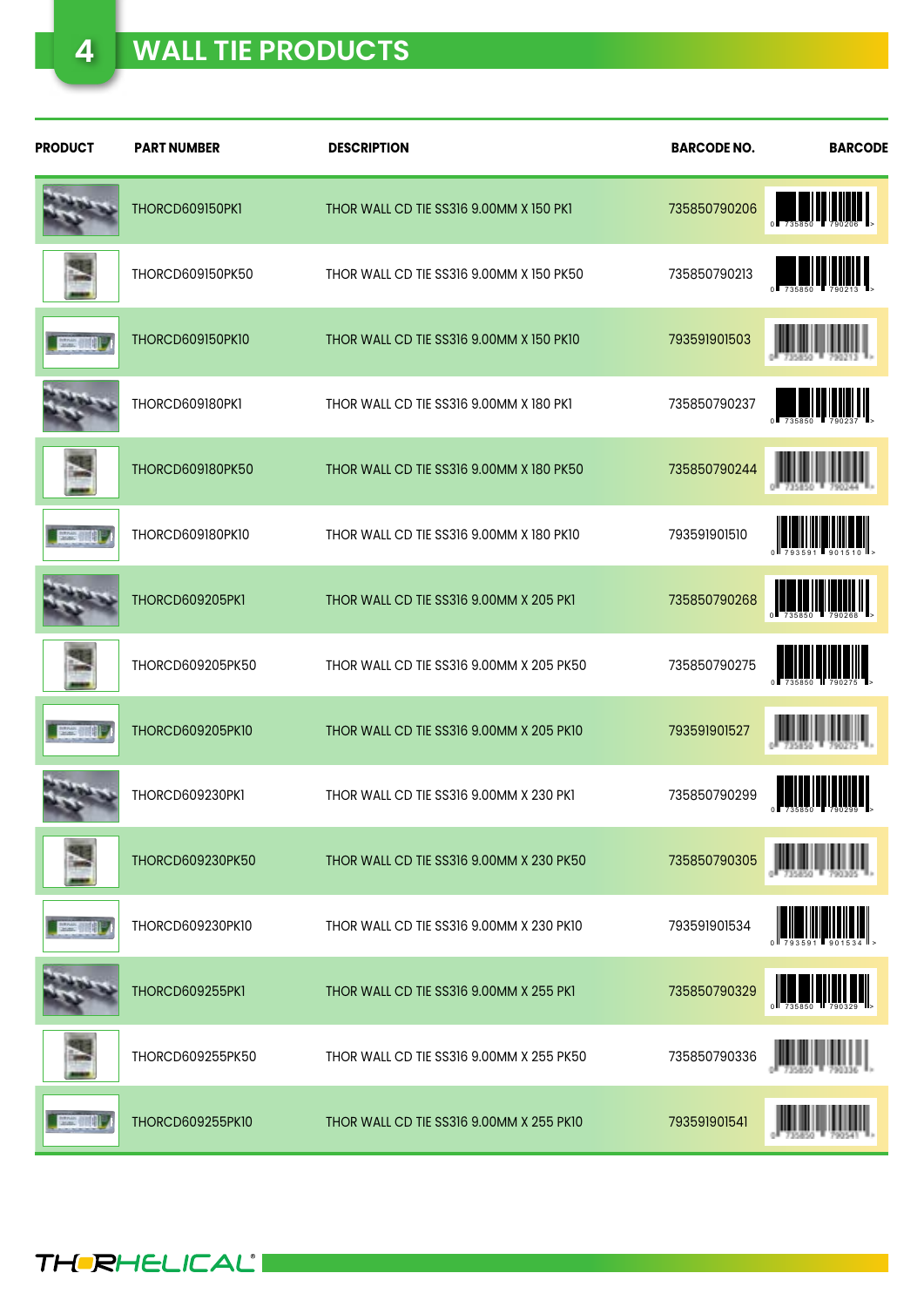| <b>PRODUCT</b> | <b>PART NUMBER</b>      | <b>DESCRIPTION</b>                       | <b>BARCODE NO.</b> | <b>BARCODE</b>                                                                                                                                                                                                                                                                                                                         |
|----------------|-------------------------|------------------------------------------|--------------------|----------------------------------------------------------------------------------------------------------------------------------------------------------------------------------------------------------------------------------------------------------------------------------------------------------------------------------------|
|                | THORCD609150PK1         | THOR WALL CD TIE SS316 9.00MM X 150 PK1  | 735850790206       | ║                                                                                                                                                                                                                                                                                                                                      |
|                | THORCD609150PK50        | THOR WALL CD TIE SS316 9.00MM X 150 PK50 | 735850790213       | WINNIN                                                                                                                                                                                                                                                                                                                                 |
|                | <b>THORCD609150PK10</b> | THOR WALL CD TIE SS316 9.00MM X 150 PK10 | 793591901503       |                                                                                                                                                                                                                                                                                                                                        |
|                | THORCD609180PK1         | THOR WALL CD TIE SS316 9.00MM X 180 PK1  | 735850790237       | $\left\  \begin{array}{ccc} 0 & 0 & 0 \\ 0 & 0 & 0 \\ 0 & 0 & 0 \\ 0 & 0 & 0 \\ 0 & 0 & 0 \\ 0 & 0 & 0 \\ 0 & 0 & 0 \\ 0 & 0 & 0 \\ 0 & 0 & 0 \\ 0 & 0 & 0 \\ 0 & 0 & 0 \\ 0 & 0 & 0 \\ 0 & 0 & 0 \\ 0 & 0 & 0 \\ 0 & 0 & 0 & 0 \\ 0 & 0 & 0 & 0 \\ 0 & 0 & 0 & 0 \\ 0 & 0 & 0 & 0 & 0 \\ 0 & 0 & 0 & 0 & 0 \\ 0 & 0 & 0 & 0 & 0 \\ 0$ |
|                | <b>THORCD609180PK50</b> | THOR WALL CD TIE SS316 9.00MM X 180 PK50 | 735850790244       |                                                                                                                                                                                                                                                                                                                                        |
|                | <b>THORCD609180PK10</b> | THOR WALL CD TIE SS316 9.00MM X 180 PK10 | 793591901510       |                                                                                                                                                                                                                                                                                                                                        |
|                | THORCD609205PK1         | THOR WALL CD TIE SS316 9.00MM X 205 PK1  | 735850790268       | IIIII                                                                                                                                                                                                                                                                                                                                  |
|                | THORCD609205PK50        | THOR WALL CD TIE SS316 9.00MM X 205 PK50 | 735850790275       | <b>III</b> III                                                                                                                                                                                                                                                                                                                         |
|                | <b>THORCD609205PK10</b> | THOR WALL CD TIE SS316 9.00MM X 205 PK10 | 793591901527       |                                                                                                                                                                                                                                                                                                                                        |
|                | THORCD609230PK1         | THOR WALL CD TIE SS316 9.00MM X 230 PK1  | 735850790299       |                                                                                                                                                                                                                                                                                                                                        |
|                | THORCD609230PK50        | THOR WALL CD TIE SS316 9.00MM X 230 PK50 | 735850790305       |                                                                                                                                                                                                                                                                                                                                        |
|                | THORCD609230PK10        | THOR WALL CD TIE SS316 9.00MM X 230 PK10 | 793591901534       |                                                                                                                                                                                                                                                                                                                                        |
|                | THORCD609255PK1         | THOR WALL CD TIE SS316 9.00MM X 255 PK1  | 735850790329       |                                                                                                                                                                                                                                                                                                                                        |
|                | THORCD609255PK50        | THOR WALL CD TIE SS316 9.00MM X 255 PK50 | 735850790336       |                                                                                                                                                                                                                                                                                                                                        |
|                | <b>THORCD609255PK10</b> | THOR WALL CD TIE SS316 9.00MM X 255 PK10 | 793591901541       |                                                                                                                                                                                                                                                                                                                                        |

**THERHELICALI**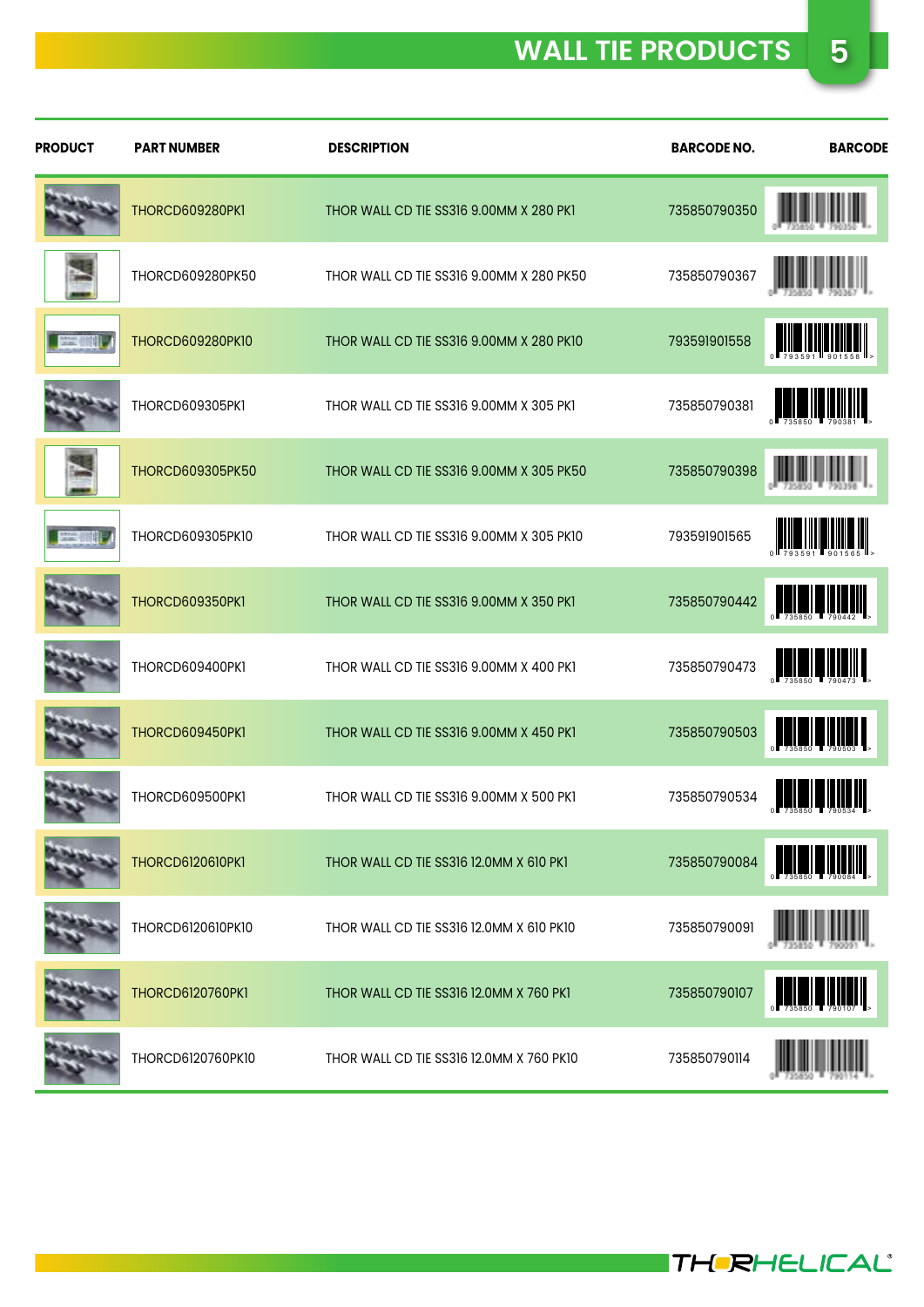| <b>PRODUCT</b> | <b>PART NUMBER</b>      | <b>DESCRIPTION</b>                       | <b>BARCODE NO.</b> | <b>BARCODE</b>                                                                                                                                                                                                                                                                                                                                                                                                                                                                                                                                                                                                  |
|----------------|-------------------------|------------------------------------------|--------------------|-----------------------------------------------------------------------------------------------------------------------------------------------------------------------------------------------------------------------------------------------------------------------------------------------------------------------------------------------------------------------------------------------------------------------------------------------------------------------------------------------------------------------------------------------------------------------------------------------------------------|
|                | THORCD609280PK1         | THOR WALL CD TIE SS316 9.00MM X 280 PK1  | 735850790350       |                                                                                                                                                                                                                                                                                                                                                                                                                                                                                                                                                                                                                 |
|                | THORCD609280PK50        | THOR WALL CD TIE SS316 9.00MM X 280 PK50 | 735850790367       |                                                                                                                                                                                                                                                                                                                                                                                                                                                                                                                                                                                                                 |
|                | <b>THORCD609280PK10</b> | THOR WALL CD TIE SS316 9.00MM X 280 PK10 | 793591901558       |                                                                                                                                                                                                                                                                                                                                                                                                                                                                                                                                                                                                                 |
|                | THORCD609305PK1         | THOR WALL CD TIE SS316 9.00MM X 305 PK1  | 735850790381       | $\begin{bmatrix} 1 & 1 & 1 \\ 1 & 1 & 1 \\ 1 & 1 & 1 \\ 1 & 1 & 1 \\ 1 & 1 & 1 \\ 1 & 1 & 1 \\ 1 & 1 & 1 \\ 1 & 1 & 1 \\ 1 & 1 & 1 \\ 1 & 1 & 1 \\ 1 & 1 & 1 \\ 1 & 1 & 1 \\ 1 & 1 & 1 \\ 1 & 1 & 1 \\ 1 & 1 & 1 \\ 1 & 1 & 1 \\ 1 & 1 & 1 \\ 1 & 1 & 1 \\ 1 & 1 & 1 \\ 1 & 1 & 1 \\ 1 & 1 & 1 \\ 1 & 1 & 1 \\ 1 & 1 & 1 \\ 1 & 1 & $                                                                                                                                                                                                                                                                           |
|                | <b>THORCD609305PK50</b> | THOR WALL CD TIE SS316 9.00MM X 305 PK50 | 735850790398       |                                                                                                                                                                                                                                                                                                                                                                                                                                                                                                                                                                                                                 |
|                | THORCD609305PK10        | THOR WALL CD TIE SS316 9.00MM X 305 PK10 | 793591901565       |                                                                                                                                                                                                                                                                                                                                                                                                                                                                                                                                                                                                                 |
|                | THORCD609350PK1         | THOR WALL CD TIE SS316 9.00MM X 350 PK1  | 735850790442       | $\begin{tabular}{ c c c c c } \hline \quad \quad & \quad \quad & \quad \quad & \quad \quad & \quad \quad \\ \hline \quad \quad & \quad \quad & \quad \quad & \quad \quad & \quad \quad & \quad \quad \\ \hline \quad \quad & \quad \quad & \quad \quad & \quad \quad & \quad \quad \\ \hline \quad \quad & \quad \quad & \quad \quad & \quad \quad & \quad \quad & \quad \quad \\ \hline \quad \quad & \quad \quad & \quad \quad & \quad \quad & \quad \quad & \quad \quad \\ \hline \quad \quad & \quad \quad & \quad \quad & \quad \quad & \quad \quad & \quad \quad \\ \hline \quad \quad & \quad \quad & \$ |
|                | THORCD609400PK1         | THOR WALL CD TIE SS316 9.00MM X 400 PK1  | 735850790473       | <b>NEW YORK IN THE LIGHT</b>                                                                                                                                                                                                                                                                                                                                                                                                                                                                                                                                                                                    |
|                | THORCD609450PK1         | THOR WALL CD TIE SS316 9.00MM X 450 PK1  | 735850790503       | <b>NE DE LA BILITA DE LA BILITA DE LA BILITA DE LA BILITA DE LA BILITA DE LA BILITA DE LA BILITA DE LA BILITA DE</b>                                                                                                                                                                                                                                                                                                                                                                                                                                                                                            |
|                | THORCD609500PK1         | THOR WALL CD TIE SS316 9.00MM X 500 PK1  | 735850790534       |                                                                                                                                                                                                                                                                                                                                                                                                                                                                                                                                                                                                                 |
|                | <b>THORCD6120610PK1</b> | THOR WALL CD TIE SS316 12.0MM X 610 PK1  | 735850790084       |                                                                                                                                                                                                                                                                                                                                                                                                                                                                                                                                                                                                                 |
|                | THORCD6120610PK10       | THOR WALL CD TIE SS316 12.0MM X 610 PK10 | 735850790091       |                                                                                                                                                                                                                                                                                                                                                                                                                                                                                                                                                                                                                 |
|                | <b>THORCD6120760PK1</b> | THOR WALL CD TIE SS316 12.0MM X 760 PK1  | 735850790107       |                                                                                                                                                                                                                                                                                                                                                                                                                                                                                                                                                                                                                 |
|                | THORCD6120760PK10       | THOR WALL CD TIE SS316 12.0MM X 760 PK10 | 735850790114       |                                                                                                                                                                                                                                                                                                                                                                                                                                                                                                                                                                                                                 |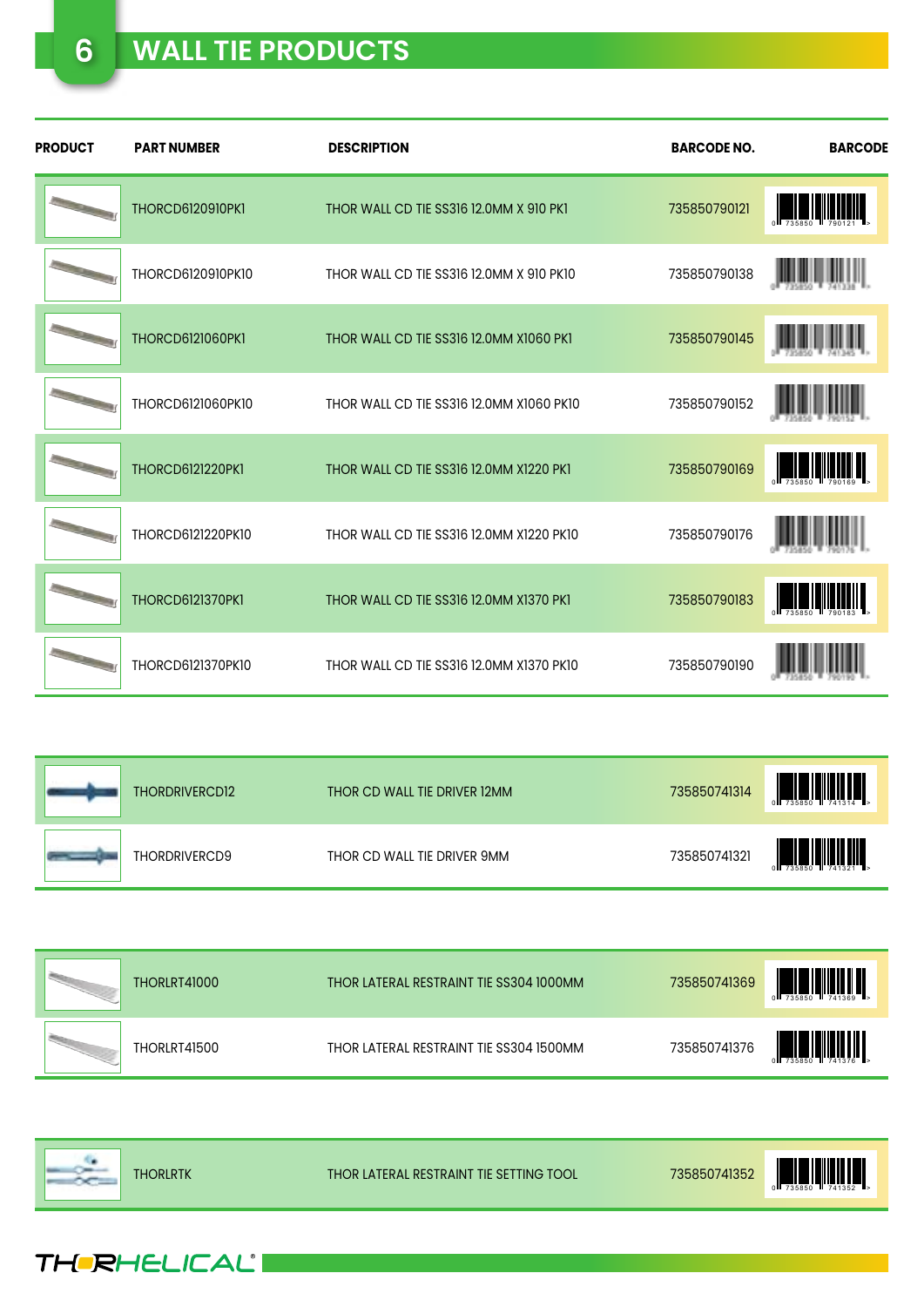### **6 WALL TIE PRODUCTS**

| <b>PRODUCT</b> | <b>PART NUMBER</b>      | <b>DESCRIPTION</b>                       | <b>BARCODE NO.</b> | <b>BARCODE</b>                                                                                                        |
|----------------|-------------------------|------------------------------------------|--------------------|-----------------------------------------------------------------------------------------------------------------------|
|                | <b>THORCD6120910PK1</b> | THOR WALL CD TIE SS316 12.0MM X 910 PK1  | 735850790121       | <b>A MARITA DE LA BIOLOGIA DELL'ALGO DELL'UNIONE DELL'UNIONE DELL'UNIONE DELL'UNIONE DELL'UNIONE DELL'UNIONE DELL</b> |
|                | THORCD6120910PK10       | THOR WALL CD TIE SS316 12.0MM X 910 PK10 | 735850790138       |                                                                                                                       |
|                | <b>THORCD6121060PK1</b> | THOR WALL CD TIE SS316 12.0MM X1060 PK1  | 735850790145       |                                                                                                                       |
|                | THORCD6121060PK10       | THOR WALL CD TIE SS316 12.0MM X1060 PK10 | 735850790152       |                                                                                                                       |
|                | <b>THORCD6121220PK1</b> | THOR WALL CD TIE SS316 12.0MM X1220 PK1  | 735850790169       | <b>TELEVISION</b>                                                                                                     |
|                | THORCD6121220PK10       | THOR WALL CD TIE SS316 12.0MM X1220 PK10 | 735850790176       |                                                                                                                       |
|                | <b>THORCD6121370PK1</b> | THOR WALL CD TIE SS316 12.0MM X1370 PK1  | 735850790183       | <b>THE REAL PROPERTY</b>                                                                                              |
|                | THORCD6121370PK10       | THOR WALL CD TIE SS316 12.0MM X1370 PK10 | 735850790190       |                                                                                                                       |

| THORDRIVERCDI2 | THOR CD WALL TIE DRIVER 12MM | 735850741314 | $0$ $\overline{1}$ 735850 $\overline{1}$ 741314 $\overline{1}$ |
|----------------|------------------------------|--------------|----------------------------------------------------------------|
| THORDRIVERCD9  | THOR CD WALL TIE DRIVER 9MM  | 735850741321 |                                                                |

| <b>THORLRT41000</b> | THOR LATERAL RESTRAINT TIE SS304 1000MM | 735850741369 | 0 735850 741369 P |
|---------------------|-----------------------------------------|--------------|-------------------|
| THORLRT41500        | THOR LATERAL RESTRAINT TIE SS304 1500MM | 735850741376 | WWW               |



THERHELICAL®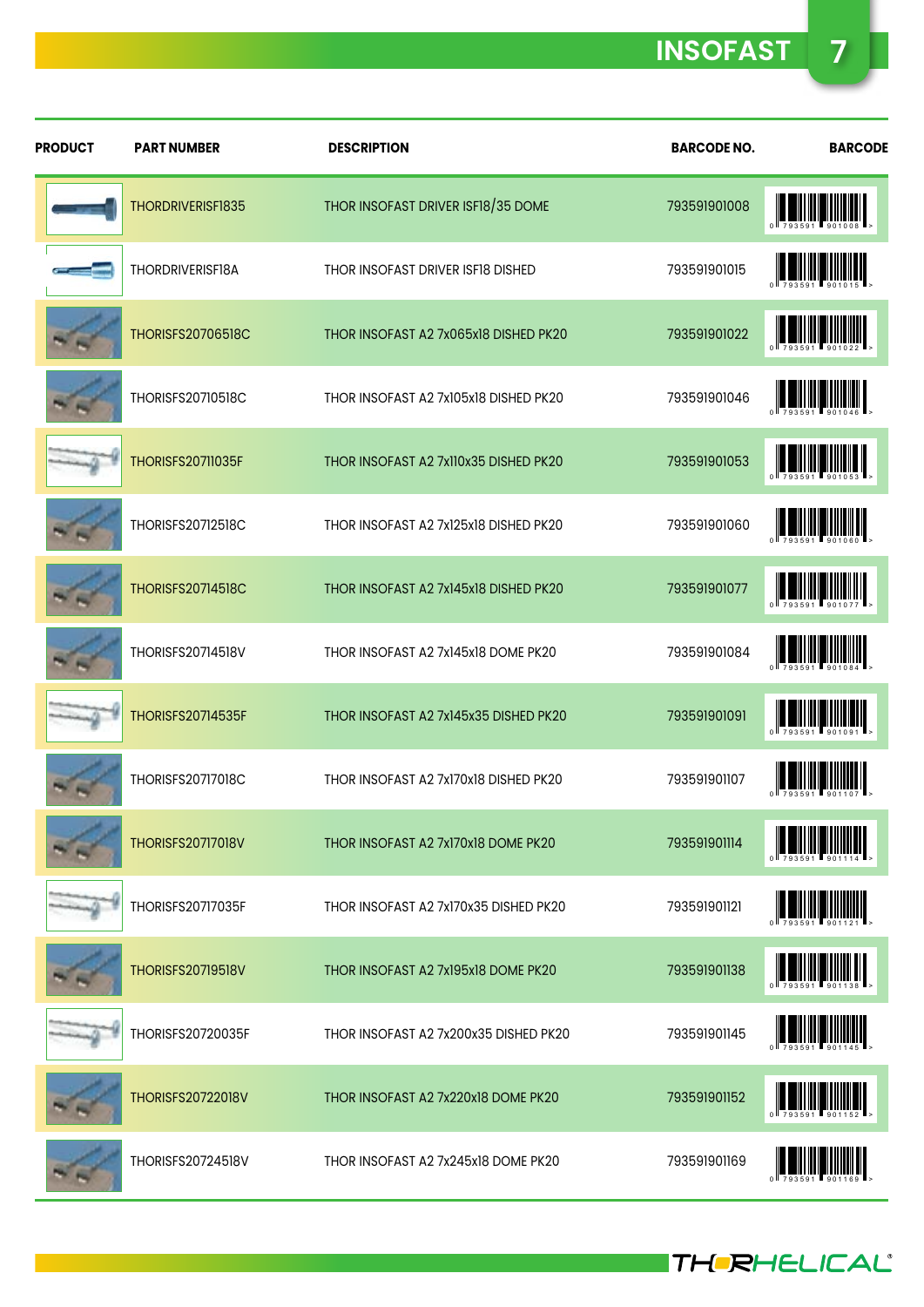**INSOFAST 7**

| <b>PRODUCT</b> | <b>PART NUMBER</b>       | <b>DESCRIPTION</b>                    | <b>BARCODE NO.</b> | <b>BARCODE</b>                                                    |
|----------------|--------------------------|---------------------------------------|--------------------|-------------------------------------------------------------------|
|                | THORDRIVERISF1835        | THOR INSOFAST DRIVER ISF18/35 DOME    | 793591901008       |                                                                   |
|                | THORDRIVERISF18A         | THOR INSOFAST DRIVER ISF18 DISHED     | 793591901015       | $\frac{1}{793591}$                                                |
|                | <b>THORISFS20706518C</b> | THOR INSOFAST A2 7x065x18 DISHED PK20 | 793591901022       | $\left \left \left \left \right \right \right $                   |
|                | <b>THORISFS20710518C</b> | THOR INSOFAST A2 7x105x18 DISHED PK20 | 793591901046       | $\left  \frac{1}{202591} \right  \left  \frac{1}{901046} \right $ |
|                | <b>THORISFS20711035F</b> | THOR INSOFAST A2 7x110x35 DISHED PK20 | 793591901053       |                                                                   |
|                | THORISFS20712518C        | THOR INSOFAST A2 7x125x18 DISHED PK20 | 793591901060       |                                                                   |
|                | <b>THORISFS20714518C</b> | THOR INSOFAST A2 7x145x18 DISHED PK20 | 793591901077       | <b>TERRITORIA</b>                                                 |
|                | THORISFS20714518V        | THOR INSOFAST A2 7x145x18 DOME PK20   | 793591901084       |                                                                   |
|                | <b>THORISFS20714535F</b> | THOR INSOFAST A2 7x145x35 DISHED PK20 | 793591901091       | $\frac{1}{783581}$ $\frac{1}{801001}$                             |
|                | THORISFS20717018C        | THOR INSOFAST A2 7x170x18 DISHED PK20 | 793591901107       |                                                                   |
|                | <b>THORISFS20717018V</b> | THOR INSOFAST A2 7x170x18 DOME PK20   | 793591901114       |                                                                   |
|                | THORISFS20717035F        | THOR INSOFAST A2 7x170x35 DISHED PK20 | 793591901121       | ║╎║╿║║║║║║║║                                                      |
|                | <b>THORISFS20719518V</b> | THOR INSOFAST A2 7x195x18 DOME PK20   | 793591901138       |                                                                   |
|                | THORISFS20720035F        | THOR INSOFAST A2 7x200x35 DISHED PK20 | 793591901145       | <u>                                   </u>                        |
|                | <b>THORISFS20722018V</b> | THOR INSOFAST A2 7x220x18 DOME PK20   | 793591901152       | !!!!! <b>!!!!!!!!!!</b>                                           |
|                | THORISFS20724518V        | THOR INSOFAST A2 7x245x18 DOME PK20   | 793591901169       |                                                                   |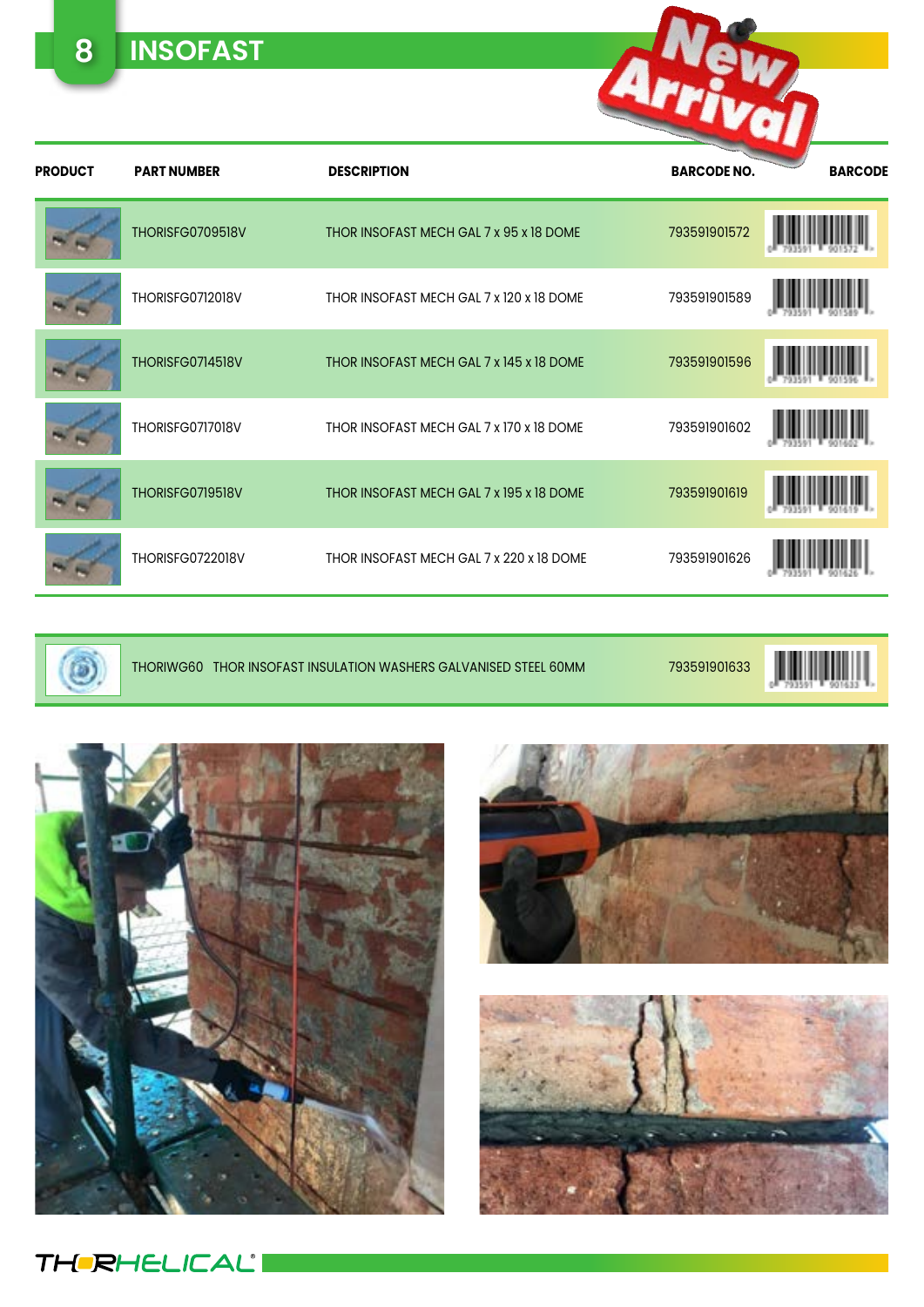**8 INSOFAST**

| <b>PRODUCT</b> | <b>PART NUMBER</b>      | <b>DESCRIPTION</b>                       | <b>BARCODE NO.</b> | <b>BARCODE</b> |
|----------------|-------------------------|------------------------------------------|--------------------|----------------|
|                | THORISFG0709518V        | THOR INSOFAST MECH GAL 7 x 95 x 18 DOME  | 793591901572       |                |
|                | <b>THORISFG0712018V</b> | THOR INSOFAST MECH GAL 7 x 120 x 18 DOME | 793591901589       |                |
|                | THORISFG0714518V        | THOR INSOFAST MECH GAL 7 x 145 x 18 DOME | 793591901596       |                |
|                | THORISFG0717018V        | THOR INSOFAST MECH GAL 7 x 170 x 18 DOME | 793591901602       |                |
|                | THORISFG0719518V        | THOR INSOFAST MECH GAL 7 x 195 x 18 DOME | 793591901619       |                |
|                | THORISFG0722018V        | THOR INSOFAST MECH GAL 7 x 220 x 18 DOME | 793591901626       |                |



THORIWG60 THOR INSOFAST INSULATION WASHERS GALVANISED STEEL 60MM 793591901633

Arrivan









**THERHELICALI**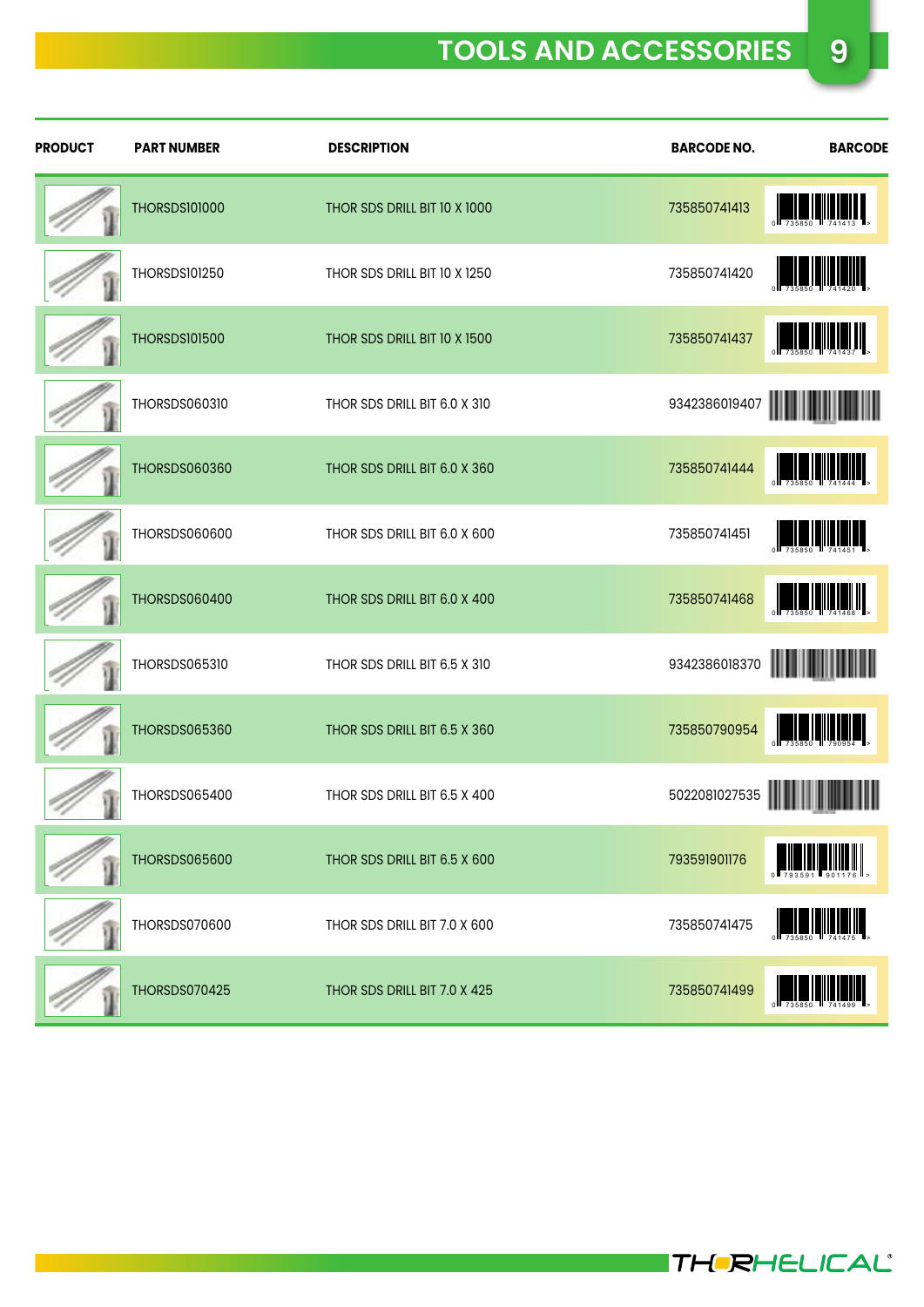### **TOOLS AND ACCESSORIES 9**

| <b>PRODUCT</b> | <b>PART NUMBER</b>   | <b>DESCRIPTION</b>           | <b>BARCODE NO.</b> | <b>BARCODE</b>                                                                   |
|----------------|----------------------|------------------------------|--------------------|----------------------------------------------------------------------------------|
|                | <b>THORSDS101000</b> | THOR SDS DRILL BIT 10 X 1000 | 735850741413       | $\begin{array}{ c c c c c }\n\hline\n0 & 735850 & 741413\n\end{array}$           |
|                | <b>THORSDS101250</b> | THOR SDS DRILL BIT 10 X 1250 | 735850741420       |                                                                                  |
|                | <b>THORSDS101500</b> | THOR SDS DRILL BIT 10 X 1500 | 735850741437       |                                                                                  |
|                | <b>THORSDS060310</b> | THOR SDS DRILL BIT 6.0 X 310 | 9342386019407      | <u> Hilling Hill</u>                                                             |
|                | <b>THORSDS060360</b> | THOR SDS DRILL BIT 6.0 X 360 | 735850741444       | $\frac{1}{735850}$                                                               |
|                | THORSDS060600        | THOR SDS DRILL BIT 6.0 X 600 | 735850741451       | $\begin{bmatrix} 1 & 1 & 1 \\ 0 & 735850 & 741454 \end{bmatrix}$                 |
|                | THORSDS060400        | THOR SDS DRILL BIT 6.0 X 400 | 735850741468       | <b>TAN DESCRIPTION</b>                                                           |
|                | <b>THORSDS065310</b> | THOR SDS DRILL BIT 6.5 X 310 | 9342386018370      |                                                                                  |
|                | THORSDS065360        | THOR SDS DRILL BIT 6.5 X 360 | 735850790954       | $\begin{bmatrix} 1 & 1 & 1 \\ 1 & 1 & 1 \\ 1 & 1 & 1 \\ 1 & 1 & 1 \end{bmatrix}$ |
|                | THORSDS065400        | THOR SDS DRILL BIT 6.5 X 400 | 5022081027535      | Ш                                                                                |
|                | THORSDS065600        | THOR SDS DRILL BIT 6.5 X 600 | 793591901176       | $\frac{1}{793591}$                                                               |
|                | THORSDS070600        | THOR SDS DRILL BIT 7.0 X 600 | 735850741475       |                                                                                  |
|                | THORSDS070425        | THOR SDS DRILL BIT 7.0 X 425 | 735850741499       |                                                                                  |

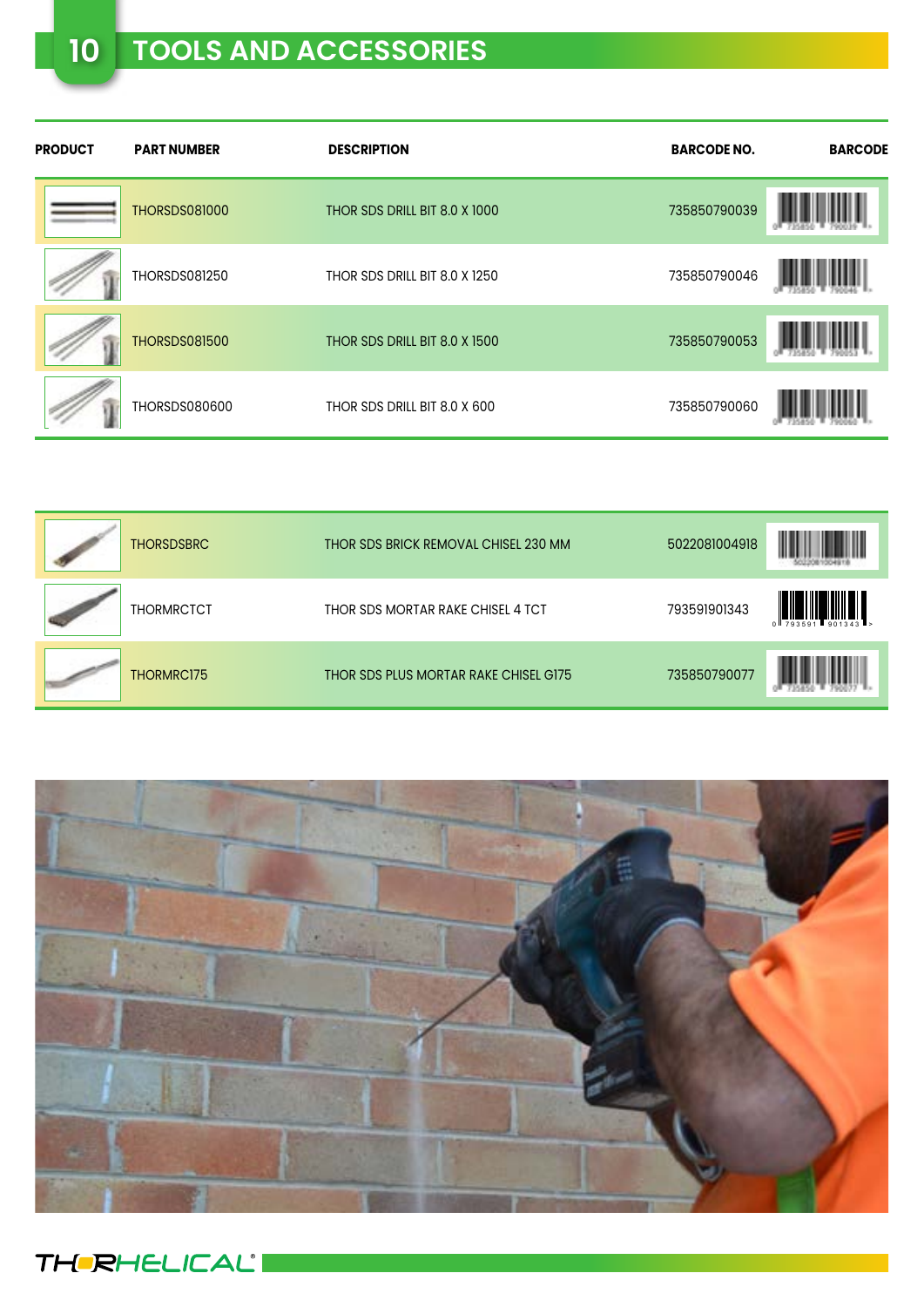## **10 TOOLS AND ACCESSORIES**

| <b>PRODUCT</b> | <b>PART NUMBER</b>   | <b>DESCRIPTION</b>            | <b>BARCODE NO.</b> | <b>BARCODE</b> |
|----------------|----------------------|-------------------------------|--------------------|----------------|
|                | <b>THORSDS081000</b> | THOR SDS DRILL BIT 8.0 X 1000 | 735850790039       |                |
|                | <b>THORSDS081250</b> | THOR SDS DRILL BIT 8.0 X 1250 | 735850790046       |                |
|                | <b>THORSDS081500</b> | THOR SDS DRILL BIT 8.0 X 1500 | 735850790053       |                |
|                | THORSDS080600        | THOR SDS DRILL BIT 8.0 X 600  | 735850790060       |                |

| <b>THORSDSBRC</b> | THOR SDS BRICK REMOVAL CHISEL 230 MM  | 5022081004918 | I                             |
|-------------------|---------------------------------------|---------------|-------------------------------|
| <b>THORMRCTCT</b> | THOR SDS MORTAR RAKE CHISEL 4 TCT     | 793591901343  | WIII N<br>$0$ $793591$ 901343 |
| THORMRC175        | THOR SDS PLUS MORTAR RAKE CHISEL G175 | 735850790077  |                               |



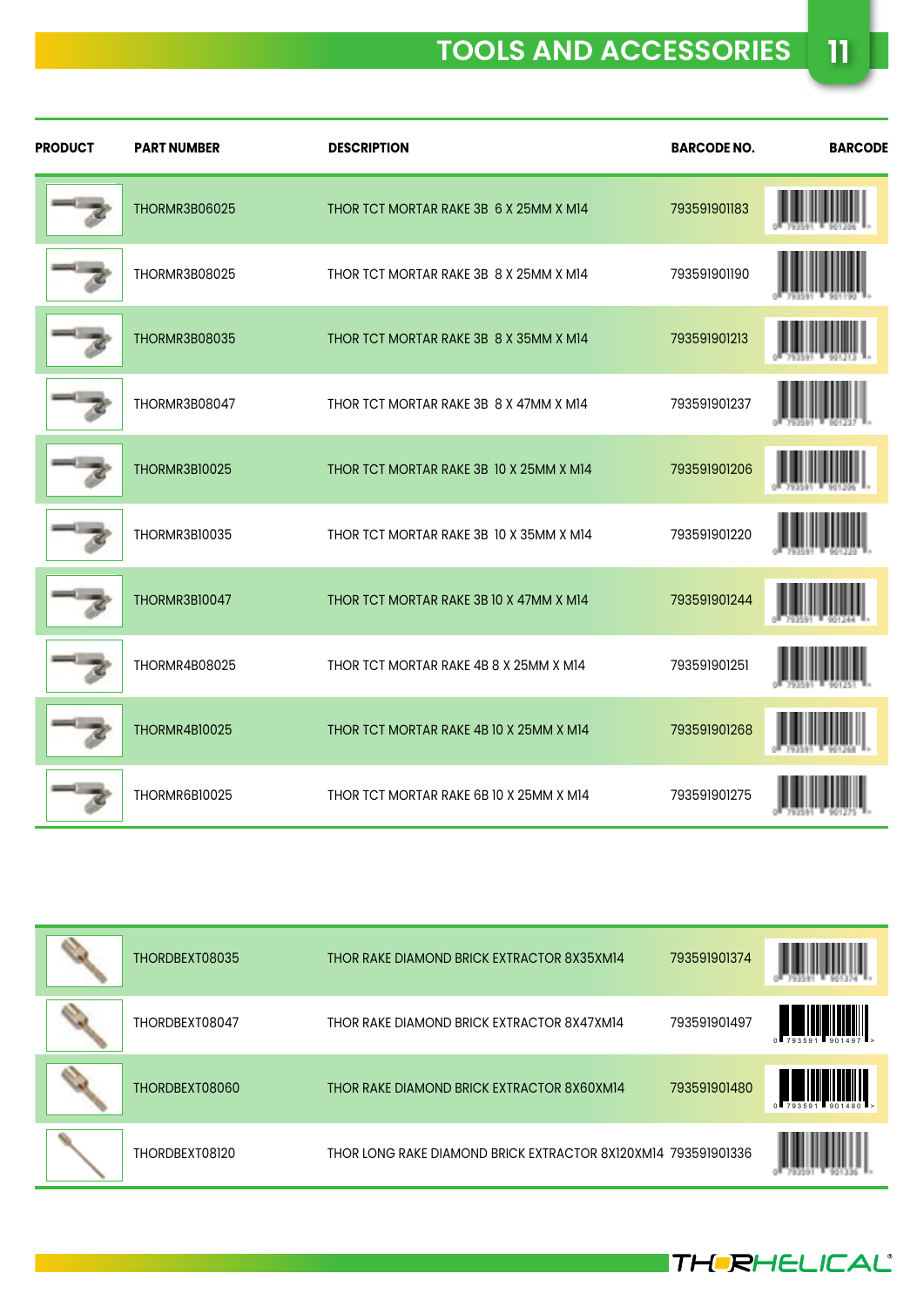| <b>PRODUCT</b> | <b>PART NUMBER</b>   | <b>DESCRIPTION</b>                      | <b>BARCODE NO.</b> | <b>BARCODE</b> |
|----------------|----------------------|-----------------------------------------|--------------------|----------------|
|                | <b>THORMR3B06025</b> | THOR TCT MORTAR RAKE 3B 6 X 25MM X M14  | 793591901183       |                |
|                | THORMR3B08025        | THOR TCT MORTAR RAKE 3B 8 X 25MM X M14  | 793591901190       |                |
|                | THORMR3B08035        | THOR TCT MORTAR RAKE 3B 8 X 35MM X M14  | 793591901213       |                |
|                | THORMR3B08047        | THOR TCT MORTAR RAKE 3B 8 X 47MM X M14  | 793591901237       |                |
|                | THORMR3B10025        | THOR TCT MORTAR RAKE 3B 10 X 25MM X M14 | 793591901206       |                |
|                | THORMR3B10035        | THOR TCT MORTAR RAKE 3B 10 X 35MM X M14 | 793591901220       |                |
|                | <b>THORMR3B10047</b> | THOR TCT MORTAR RAKE 3B 10 X 47MM X M14 | 793591901244       |                |
|                | <b>THORMR4B08025</b> | THOR TCT MORTAR RAKE 4B 8 X 25MM X M14  | 793591901251       |                |
|                | <b>THORMR4B10025</b> | THOR TCT MORTAR RAKE 4B 10 X 25MM X M14 | 793591901268       |                |
|                | THORMR6B10025        | THOR TCT MORTAR RAKE 6B 10 X 25MM X M14 | 793591901275       |                |

| THORDBEXT08035 | THOR RAKE DIAMOND BRICK EXTRACTOR 8X35XM14                    | 793591901374 |                                        |
|----------------|---------------------------------------------------------------|--------------|----------------------------------------|
| THORDBEXT08047 | THOR RAKE DIAMOND BRICK EXTRACTOR 8X47XM14                    | 793591901497 | $0$ 793591 901497 $\sim$               |
| THORDBEXT08060 | THOR RAKE DIAMOND BRICK EXTRACTOR 8X60XM14                    | 793591901480 | WWW.<br>$0$ $793591$ $901480$ $\ldots$ |
| THORDBEXT08120 | THOR LONG RAKE DIAMOND BRICK EXTRACTOR 8X120XM14 793591901336 |              |                                        |



THERHELICAL®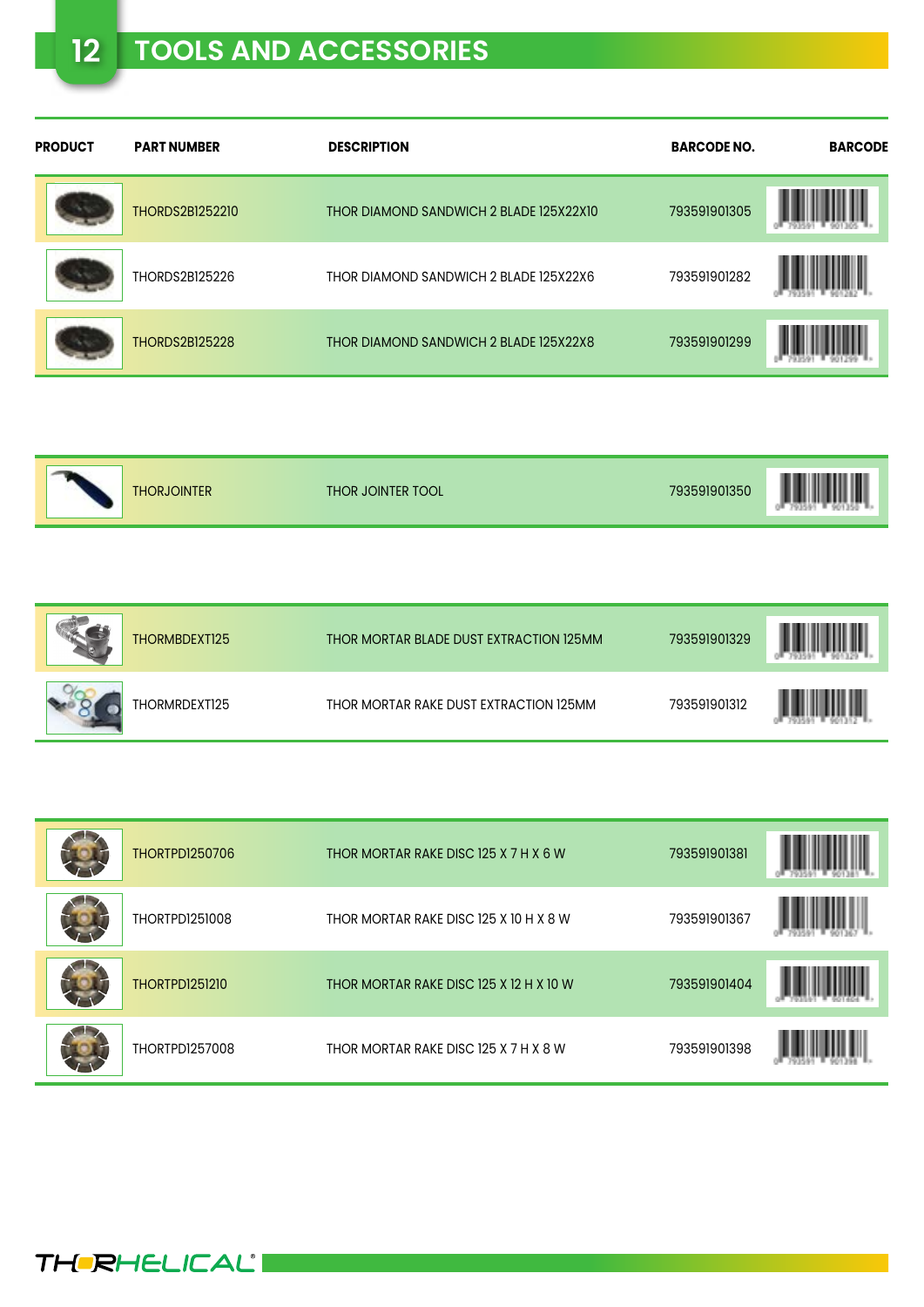| <b>PRODUCT</b> | <b>PART NUMBER</b>     | <b>DESCRIPTION</b>                      | <b>BARCODE NO.</b> | <b>BARCODE</b> |
|----------------|------------------------|-----------------------------------------|--------------------|----------------|
|                | <b>THORDS2B1252210</b> | THOR DIAMOND SANDWICH 2 BLADE 125X22X10 | 793591901305       |                |
|                | THORDS2B125226         | THOR DIAMOND SANDWICH 2 BLADE 125X22X6  | 793591901282       |                |
|                | <b>THORDS2B125228</b>  | THOR DIAMOND SANDWICH 2 BLADE 125X22X8  | 793591901299       |                |

| I<br>793591901350<br><b>THORJOINTER</b><br>THOR JOINTER TOOL | Ш<br>$\overline{\phantom{a}}$<br>Ш<br>903<br><b>B</b> a |
|--------------------------------------------------------------|---------------------------------------------------------|
|--------------------------------------------------------------|---------------------------------------------------------|

| THORMBDEXT125 | THOR MORTAR BLADE DUST EXTRACTION 125MM | 793591901329 |  |
|---------------|-----------------------------------------|--------------|--|
| THORMRDEXT125 | THOR MORTAR RAKE DUST EXTRACTION 125MM  | 793591901312 |  |

| <b>THORTPD1250706</b> | THOR MORTAR RAKE DISC 125 X 7 H X 6 W   | 793591901381 |  |
|-----------------------|-----------------------------------------|--------------|--|
| <b>THORTPD1251008</b> | THOR MORTAR RAKE DISC 125 X 10 H X 8 W  | 793591901367 |  |
| <b>THORTPD1251210</b> | THOR MORTAR RAKE DISC 125 X 12 H X 10 W | 793591901404 |  |
| <b>THORTPD1257008</b> | THOR MORTAR RAKE DISC 125 X 7 H X 8 W   | 793591901398 |  |

**THERHELICAL**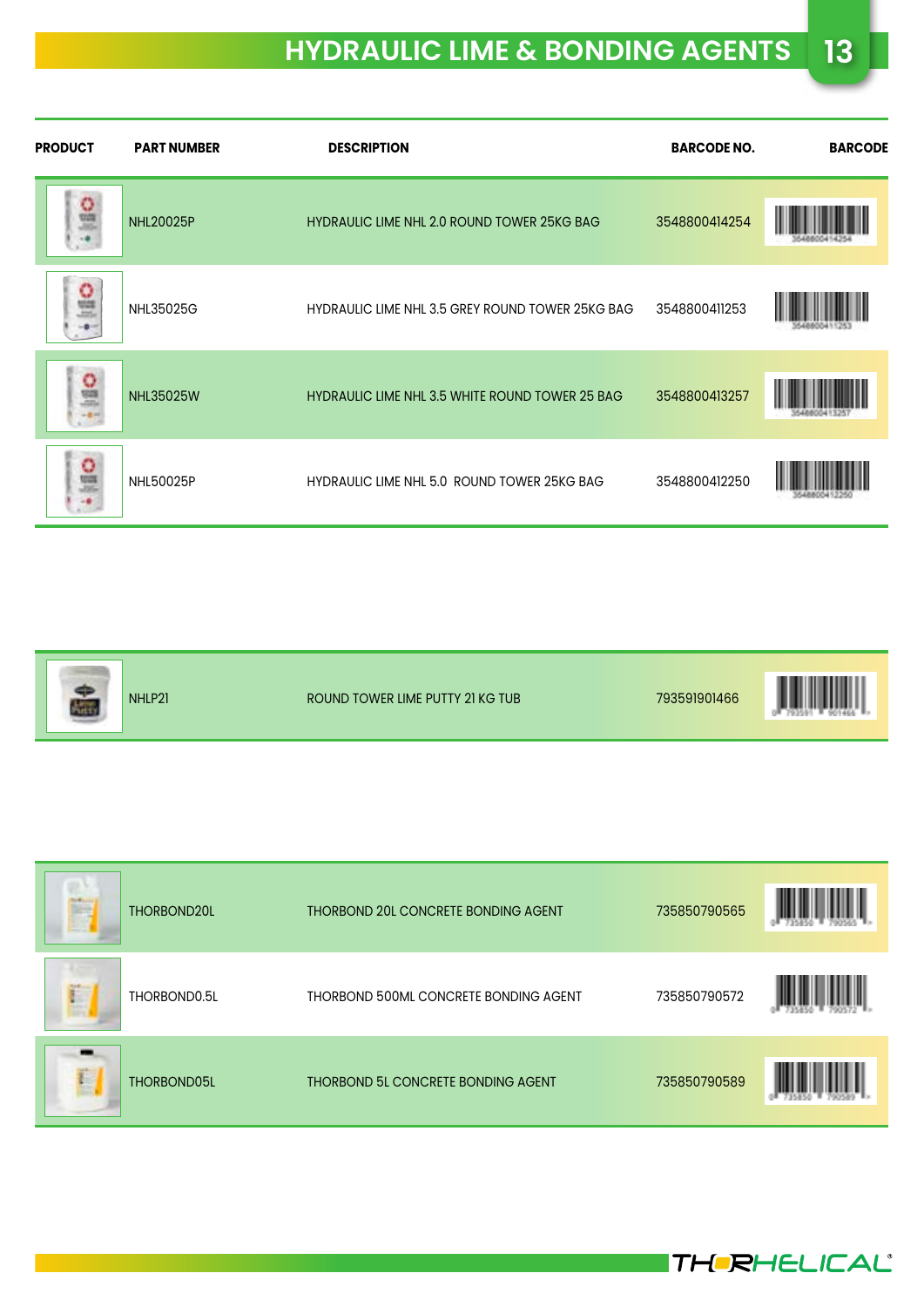| <b>PRODUCT</b> | <b>PART NUMBER</b> | <b>DESCRIPTION</b>                                     | <b>BARCODE NO.</b> | <b>BARCODE</b> |
|----------------|--------------------|--------------------------------------------------------|--------------------|----------------|
| $\frac{0}{2}$  | <b>NHL20025P</b>   | <b>HYDRAULIC LIME NHL 2.0 ROUND TOWER 25KG BAG</b>     | 3548800414254      |                |
|                | NHL35025G          | HYDRAULIC LIME NHL 3.5 GREY ROUND TOWER 25KG BAG       | 3548800411253      |                |
| 읊              | <b>NHL35025W</b>   | <b>HYDRAULIC LIME NHL 3.5 WHITE ROUND TOWER 25 BAG</b> | 3548800413257      |                |
| o              | <b>NHL50025P</b>   | HYDRAULIC LIME NHL 5.0 ROUND TOWER 25KG BAG            | 3548800412250      |                |

|--|

| THORBOND20L      | THORBOND 20L CONCRETE BONDING AGENT       | 735850790565 |  |
|------------------|-------------------------------------------|--------------|--|
| THORBOND0.5L     | THORBOND 500ML CONCRETE BONDING AGENT     | 735850790572 |  |
| Ë<br>THORBOND05L | <b>THORBOND 5L CONCRETE BONDING AGENT</b> | 735850790589 |  |

**THERHELICAL**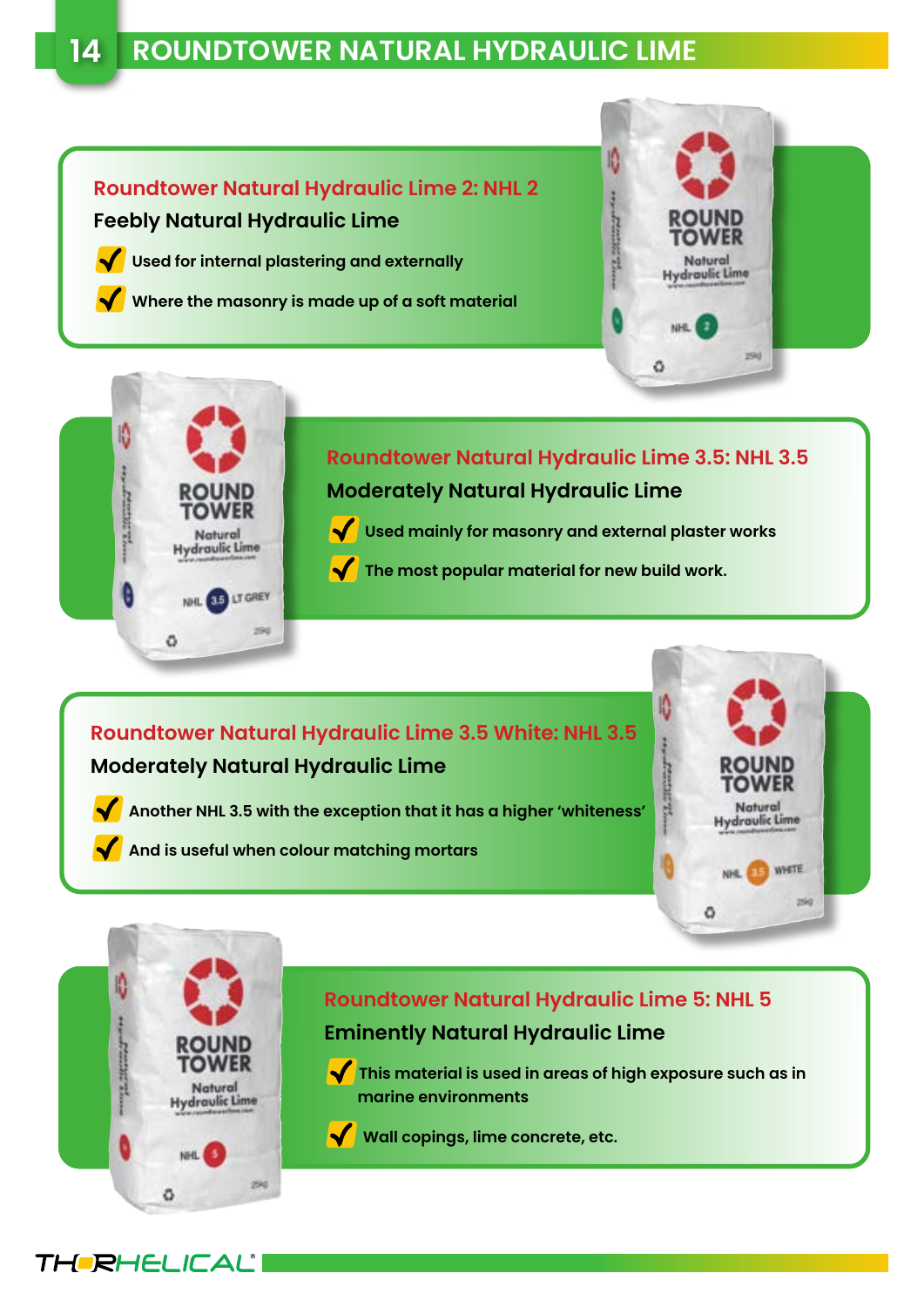#### **Roundtower Natural Hydraulic Lime 2: NHL 2 Feebly Natural Hydraulic Lime**

 **Used for internal plastering and externally** 

 **Where the masonry is made up of a soft material**





**Roundtower Natural Hydraulic Lime 3.5: NHL 3.5 Moderately Natural Hydraulic Lime**

- **Used mainly for masonry and external plaster works**
- The most popular material for new build work.

#### **Roundtower Natural Hydraulic Lime 3.5 White: NHL 3.5 Moderately Natural Hydraulic Lime**

 **Another NHL 3.5 with the exception that it has a higher 'whiteness'** 

 **And is useful when colour matching mortars**





**THERHELICAL®** 

#### **Roundtower Natural Hydraulic Lime 5: NHL 5 Eminently Natural Hydraulic Lime**

**This material is used in areas of high exposure such as in marine environments**

Wall copings, lime concrete, etc.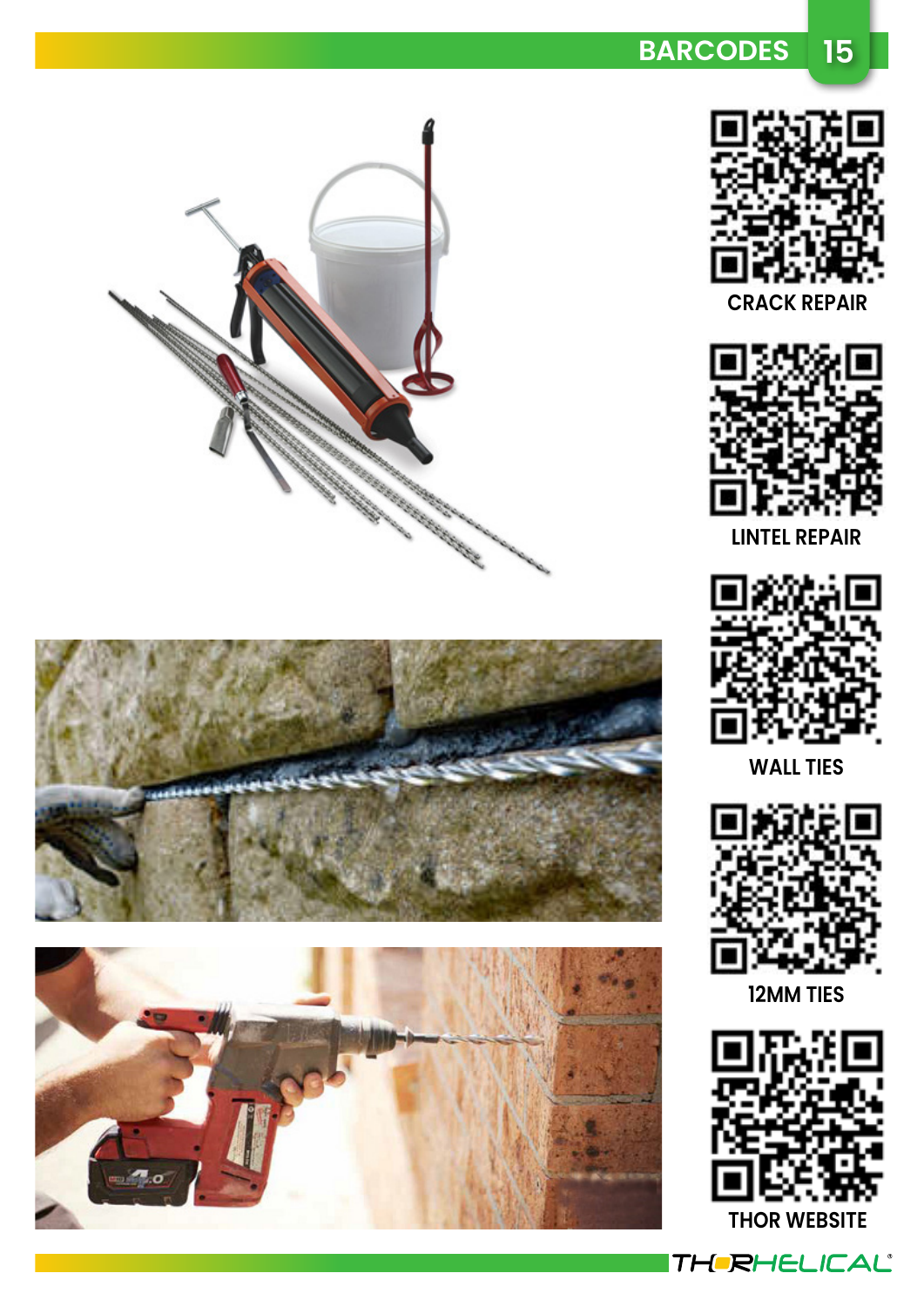



**LINTEL REPAIR**



**WALL TIES**



**12MM TIES**



THERHELICAL®